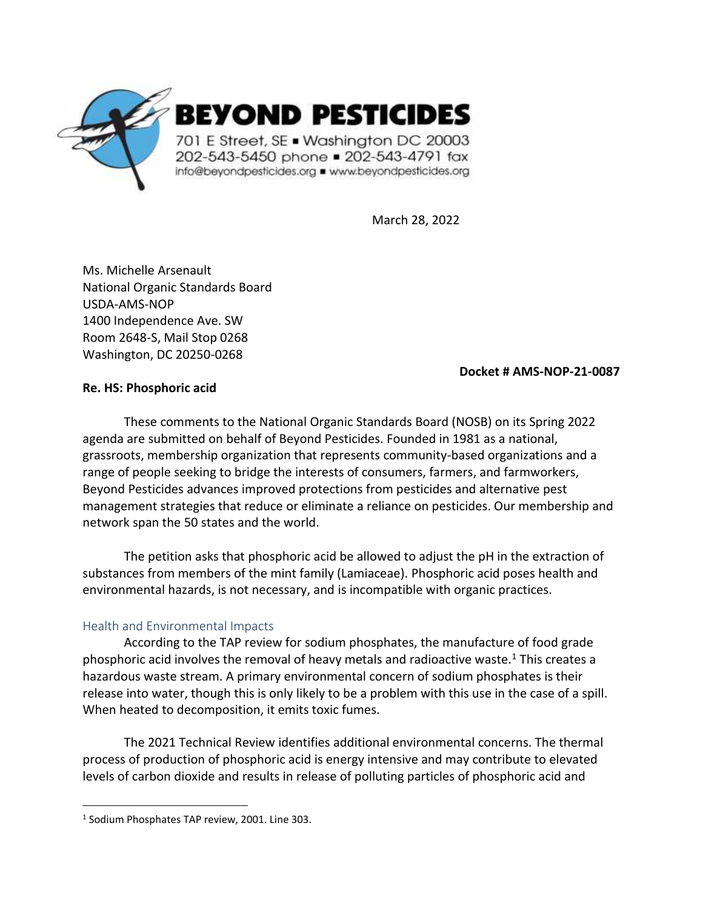

March 28, 2022

Ms. Michelle Arsenault National Organic Standards Board USDA-AMS-NOP 1400 Independence Ave. SW Room 2648-S, Mail Stop 0268 Washington, DC 20250-0268

## **Docket # AMS-NOP-21-0087**

# **Re. HS: Phosphoric acid**

These comments to the National Organic Standards Board (NOSB) on its Spring 2022 agenda are submitted on behalf of Beyond Pesticides. Founded in 1981 as a national, grassroots, membership organization that represents community-based organizations and a range of people seeking to bridge the interests of consumers, farmers, and farmworkers, Beyond Pesticides advances improved protections from pesticides and alternative pest management strategies that reduce or eliminate a reliance on pesticides. Our membership and network span the 50 states and the world.

The petition asks that phosphoric acid be allowed to adjust the pH in the extraction of substances from members of the mint family (Lamiaceae). Phosphoric acid poses health and environmental hazards, is not necessary, and is incompatible with organic practices.

# Health and Environmental Impacts

According to the TAP review for sodium phosphates, the manufacture of food grade phosphoric acid involves the removal of heavy metals and radioactive waste. $1$  This creates a hazardous waste stream. A primary environmental concern of sodium phosphates is their release into water, though this is only likely to be a problem with this use in the case of a spill. When heated to decomposition, it emits toxic fumes.

The 2021 Technical Review identifies additional environmental concerns. The thermal process of production of phosphoric acid is energy intensive and may contribute to elevated levels of carbon dioxide and results in release of polluting particles of phosphoric acid and

<sup>&</sup>lt;sup>1</sup> Sodium Phosphates TAP review, 2001. Line 303.